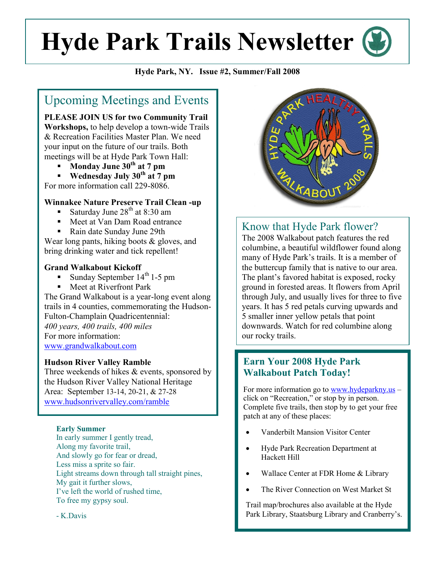# **Hyde Park Trails Newsletter**

#### **Hyde Park, NY. Issue #2, Summer/Fall 2008**

# Upcoming Meetings and Events

**PLEASE JOIN US for two Community Trail Workshops,** to help develop a town-wide Trails & Recreation Facilities Master Plan. We need your input on the future of our trails. Both meetings will be at Hyde Park Town Hall:

- **Monday June 30<sup>th</sup> at 7 pm**<br>**Wednesday July 30<sup>th</sup> at 7 n**
- **Wednesday July 30th at 7 pm** For more information call 229-8086.

#### **Winnakee Nature Preserve Trail Clean -up**

- Saturday June  $28<sup>th</sup>$  at 8:30 am
- Meet at Van Dam Road entrance
- Rain date Sunday June 29th

Wear long pants, hiking boots & gloves, and bring drinking water and tick repellent!

#### **Grand Walkabout Kickoff**

- Sunday September 14<sup>th</sup> 1-5 pm
- Meet at Riverfront Park

The Grand Walkabout is a year-long event along trails in 4 counties, commemorating the Hudson-Fulton-Champlain Quadricentennial: *400 years, 400 trails, 400 miles* For more information: [www.grandwalkabout.com](mailto:trailwalker@grandwalkabout.com)

#### **Hudson River Valley Ramble**

Three weekends of hikes & events, sponsored by the Hudson River Valley National Heritage Area: September 13-14, 20-21, & 27-28 www.hudsonrivervalley.com/ramble

#### **Early Summer**

In early summer I gently tread, Along my favorite trail, And slowly go for fear or dread, Less miss a sprite so fair. Light streams down through tall straight pines, My gait it further slows, I've left the world of rushed time, To free my gypsy soul.



## Know that Hyde Park flower?

The 2008 Walkabout patch features the red columbine, a beautiful wildflower found along many of Hyde Park's trails. It is a member of the buttercup family that is native to our area. The plant's favored habitat is exposed, rocky ground in forested areas. It flowers from April through July, and usually lives for three to five years. It has 5 red petals curving upwards and 5 smaller inner yellow petals that point downwards. Watch for red columbine along our rocky trails.

## **Earn Your 2008 Hyde Park Walkabout Patch Today!**

For more information go to [www.hydeparkny.us](http://www.hydeparkny.us/) – click on "Recreation," or stop by in person. Complete five trails, then stop by to get your free patch at any of these places:

- Vanderbilt Mansion Visitor Center
- Hyde Park Recreation Department at Hackett Hill
- Wallace Center at FDR Home & Library
- The River Connection on West Market St

Trail map/brochures also available at the Hyde Park Library, Staatsburg Library and Cranberry's.

- K.Davis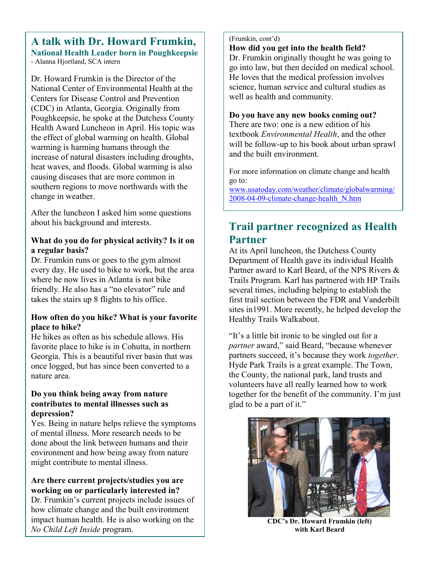#### **A talk with Dr. Howard Frumkin, National Health Leader born in Poughkeepsie** - Alanna Hjortland, SCA intern

Dr. Howard Frumkin is the Director of the National Center of Environmental Health at the Centers for Disease Control and Prevention (CDC) in Atlanta, Georgia. Originally from Poughkeepsie, he spoke at the Dutchess County Health Award Luncheon in April. His topic was the effect of global warming on health. Global warming is harming humans through the increase of natural disasters including droughts, heat waves, and floods. Global warming is also causing diseases that are more common in southern regions to move northwards with the change in weather.

After the luncheon I asked him some questions about his background and interests.

#### **What do you do for physical activity? Is it on a regular basis?**

Dr. Frumkin runs or goes to the gym almost every day. He used to bike to work, but the area where he now lives in Atlanta is not bike friendly. He also has a "no elevator" rule and takes the stairs up 8 flights to his office.

#### **How often do you hike? What is your favorite place to hike?**

He hikes as often as his schedule allows. His favorite place to hike is in Cohutta, in northern Georgia. This is a beautiful river basin that was once logged, but has since been converted to a nature area.

#### **Do you think being away from nature contributes to mental illnesses such as depression?**

Yes. Being in nature helps relieve the symptoms of mental illness. More research needs to be done about the link between humans and their environment and how being away from nature might contribute to mental illness.

#### **Are there current projects/studies you are working on or particularly interested in?**

Dr. Frumkin's current projects include issues of how climate change and the built environment impact human health. He is also working on the *No Child Left Inside* program.

(Frumkin, cont'd)

**How did you get into the health field?** 

Dr. Frumkin originally thought he was going to go into law, but then decided on medical school. He loves that the medical profession involves science, human service and cultural studies as well as health and community.

#### **Do you have any new books coming out?**

There are two: one is a new edition of his textbook *Environmental Health*, and the other will be follow-up to his book about urban sprawl and the built environment.

For more information on climate change and health go to:

www.usatoday.com/weather/climate/globalwarming/ 2008-04-09-climate-change-health\_N.htm

# **Trail partner recognized as Health Partner**

At its April luncheon, the Dutchess County Department of Health gave its individual Health Partner award to Karl Beard, of the NPS Rivers & Trails Program. Karl has partnered with HP Trails several times, including helping to establish the first trail section between the FDR and Vanderbilt sites in1991. More recently, he helped develop the Healthy Trails Walkabout.

"It's a little bit ironic to be singled out for a *partner* award," said Beard, "because whenever partners succeed, it's because they work *together*. Hyde Park Trails is a great example. The Town, the County, the national park, land trusts and volunteers have all really learned how to work together for the benefit of the community. I'm just glad to be a part of it."



**CDC's Dr. Howard Frumkin (left) with Karl Beard**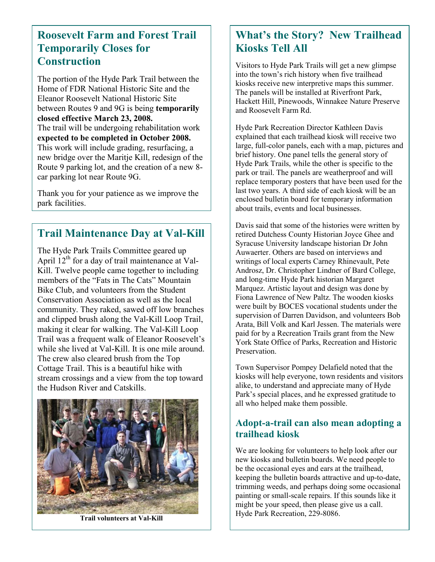## **Roosevelt Farm and Forest Trail Temporarily Closes for Construction**

The portion of the Hyde Park Trail between the Home of FDR National Historic Site and the Eleanor Roosevelt National Historic Site between Routes 9 and 9G is being **temporarily closed effective March 23, 2008.**  The trail will be undergoing rehabilitation work **expected to be completed in October 2008.** This work will include grading, resurfacing, a new bridge over the Maritie Kill, redesign of the Route 9 parking lot, and the creation of a new 8 car parking lot near Route 9G.

Thank you for your patience as we improve the park facilities.

## **Trail Maintenance Day at Val-Kill**

The Hyde Park Trails Committee geared up April  $12<sup>th</sup>$  for a day of trail maintenance at Val-Kill. Twelve people came together to including members of the "Fats in The Cats" Mountain Bike Club, and volunteers from the Student Conservation Association as well as the local community. They raked, sawed off low branches and clipped brush along the Val-Kill Loop Trail, making it clear for walking. The Val-Kill Loop Trail was a frequent walk of Eleanor Roosevelt's while she lived at Val-Kill. It is one mile around. The crew also cleared brush from the Top Cottage Trail. This is a beautiful hike with stream crossings and a view from the top toward the Hudson River and Catskills.



**Trail volunteers at Val-Kill**

# **What's the Story? New Trailhead Kiosks Tell All**

Visitors to Hyde Park Trails will get a new glimpse into the town's rich history when five trailhead kiosks receive new interpretive maps this summer. The panels will be installed at Riverfront Park, Hackett Hill, Pinewoods, Winnakee Nature Preserve and Roosevelt Farm Rd.

Hyde Park Recreation Director Kathleen Davis explained that each trailhead kiosk will receive two large, full-color panels, each with a map, pictures and brief history. One panel tells the general story of Hyde Park Trails, while the other is specific to the park or trail. The panels are weatherproof and will replace temporary posters that have been used for the last two years. A third side of each kiosk will be an enclosed bulletin board for temporary information about trails, events and local businesses.

Davis said that some of the histories were written by retired Dutchess County Historian Joyce Ghee and Syracuse University landscape historian Dr John Auwaerter. Others are based on interviews and writings of local experts Carney Rhinevault, Pete Androsz, Dr. Christopher Lindner of Bard College, and long-time Hyde Park historian Margaret Marquez. Artistic layout and design was done by Fiona Lawrence of New Paltz. The wooden kiosks were built by BOCES vocational students under the supervision of Darren Davidson, and volunteers Bob Arata, Bill Volk and Karl Jessen. The materials were paid for by a Recreation Trails grant from the New York State Office of Parks, Recreation and Historic Preservation.

Town Supervisor Pompey Delafield noted that the kiosks will help everyone, town residents and visitors alike, to understand and appreciate many of Hyde Park's special places, and he expressed gratitude to all who helped make them possible.

## **Adopt-a-trail can also mean adopting a trailhead kiosk**

We are looking for volunteers to help look after our new kiosks and bulletin boards. We need people to be the occasional eyes and ears at the trailhead, keeping the bulletin boards attractive and up-to-date, trimming weeds, and perhaps doing some occasional painting or small-scale repairs. If this sounds like it might be your speed, then please give us a call. Hyde Park Recreation, 229-8086.